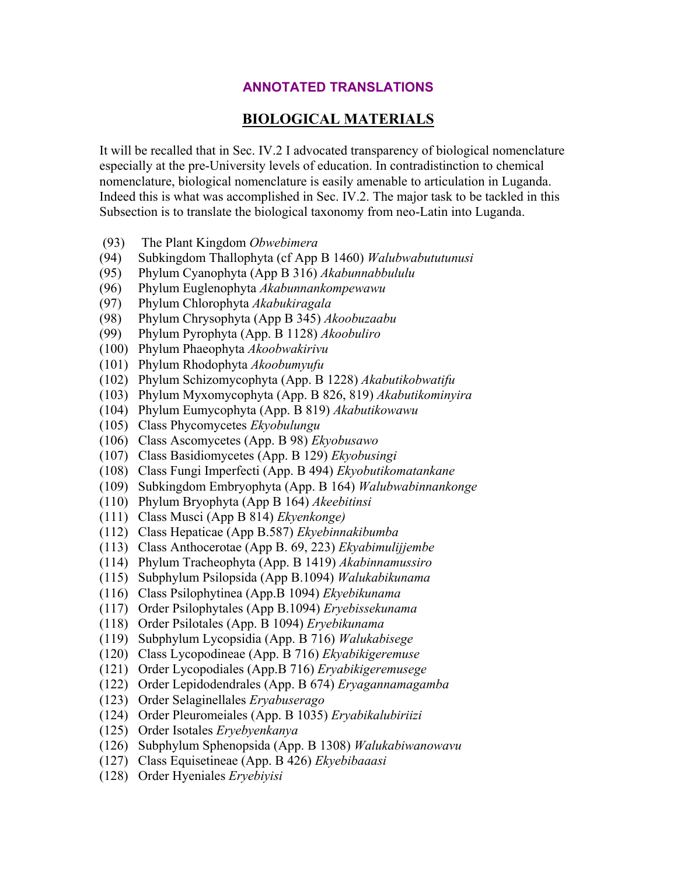## **ANNOTATED TRANSLATIONS**

## **BIOLOGICAL MATERIALS**

It will be recalled that in Sec. IV.2 I advocated transparency of biological nomenclature especially at the pre-University levels of education. In contradistinction to chemical nomenclature, biological nomenclature is easily amenable to articulation in Luganda. Indeed this is what was accomplished in Sec. IV.2. The major task to be tackled in this Subsection is to translate the biological taxonomy from neo-Latin into Luganda.

- (93) The Plant Kingdom *Obwebimera*
- (94) Subkingdom Thallophyta (cf App B 1460) *Walubwabututunusi*
- (95) Phylum Cyanophyta (App B 316) *Akabunnabbululu*
- (96) Phylum Euglenophyta *Akabunnankompewawu*
- (97) Phylum Chlorophyta *Akabukiragala*
- (98) Phylum Chrysophyta (App B 345) *Akoobuzaabu*
- (99) Phylum Pyrophyta (App. B 1128) *Akoobuliro*
- (100) Phylum Phaeophyta *Akoobwakirivu*
- (101) Phylum Rhodophyta *Akoobumyufu*
- (102) Phylum Schizomycophyta (App. B 1228) *Akabutikobwatifu*
- (103) Phylum Myxomycophyta (App. B 826, 819) *Akabutikominyira*
- (104) Phylum Eumycophyta (App. B 819) *Akabutikowawu*
- (105) Class Phycomycetes *Ekyobulungu*
- (106) Class Ascomycetes (App. B 98) *Ekyobusawo*
- (107) Class Basidiomycetes (App. B 129) *Ekyobusingi*
- (108) Class Fungi Imperfecti (App. B 494) *Ekyobutikomatankane*
- (109) Subkingdom Embryophyta (App. B 164) *Walubwabinnankonge*
- (110) Phylum Bryophyta (App B 164) *Akeebitinsi*
- (111) Class Musci (App B 814) *Ekyenkonge)*
- (112) Class Hepaticae (App B.587) *Ekyebinnakibumba*
- (113) Class Anthocerotae (App B. 69, 223) *Ekyabimulijjembe*
- (114) Phylum Tracheophyta (App. B 1419) *Akabinnamussiro*
- (115) Subphylum Psilopsida (App B.1094) *Walukabikunama*
- (116) Class Psilophytinea (App.B 1094) *Ekyebikunama*
- (117) Order Psilophytales (App B.1094) *Eryebissekunama*
- (118) Order Psilotales (App. B 1094) *Eryebikunama*
- (119) Subphylum Lycopsidia (App. B 716) *Walukabisege*
- (120) Class Lycopodineae (App. B 716) *Ekyabikigeremuse*
- (121) Order Lycopodiales (App.B 716) *Eryabikigeremusege*
- (122) Order Lepidodendrales (App. B 674) *Eryagannamagamba*
- (123) Order Selaginellales *Eryabuserago*
- (124) Order Pleuromeiales (App. B 1035) *Eryabikalubiriizi*
- (125) Order Isotales *Eryebyenkanya*
- (126) Subphylum Sphenopsida (App. B 1308) *Walukabiwanowavu*
- (127) Class Equisetineae (App. B 426) *Ekyebibaaasi*
- (128) Order Hyeniales *Eryebiyisi*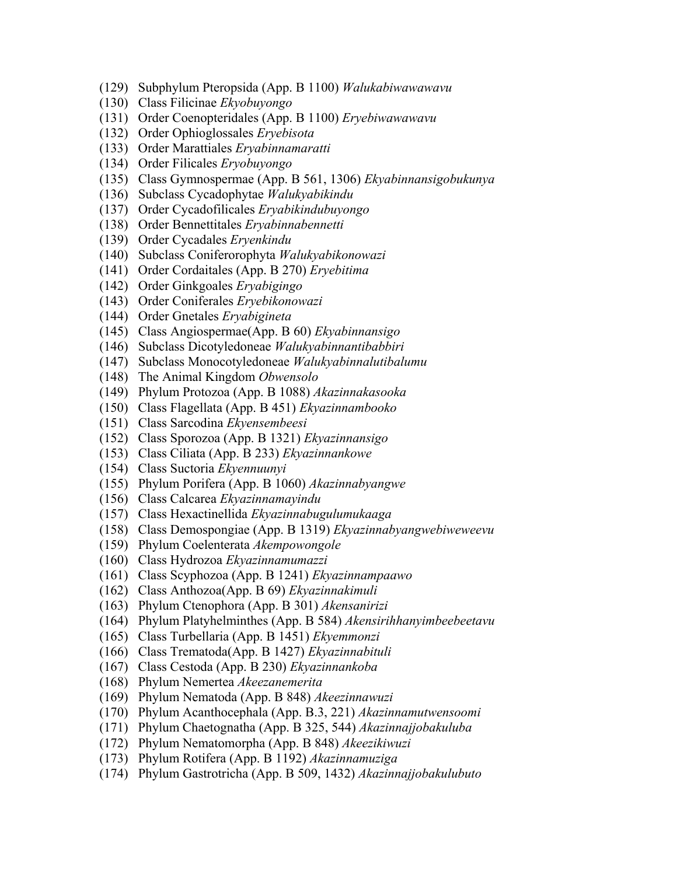- (129) Subphylum Pteropsida (App. B 1100) *Walukabiwawawavu*
- (130) Class Filicinae *Ekyobuyongo*
- (131) Order Coenopteridales (App. B 1100) *Eryebiwawawavu*
- (132) Order Ophioglossales *Eryebisota*
- (133) Order Marattiales *Eryabinnamaratti*
- (134) Order Filicales *Eryobuyongo*
- (135) Class Gymnospermae (App. B 561, 1306) *Ekyabinnansigobukunya*
- (136) Subclass Cycadophytae *Walukyabikindu*
- (137) Order Cycadofilicales *Eryabikindubuyongo*
- (138) Order Bennettitales *Eryabinnabennetti*
- (139) Order Cycadales *Eryenkindu*
- (140) Subclass Coniferorophyta *Walukyabikonowazi*
- (141) Order Cordaitales (App. B 270) *Eryebitima*
- (142) Order Ginkgoales *Eryabigingo*
- (143) Order Coniferales *Eryebikonowazi*
- (144) Order Gnetales *Eryabigineta*
- (145) Class Angiospermae(App. B 60) *Ekyabinnansigo*
- (146) Subclass Dicotyledoneae *Walukyabinnantibabbiri*
- (147) Subclass Monocotyledoneae *Walukyabinnalutibalumu*
- (148) The Animal Kingdom *Obwensolo*
- (149) Phylum Protozoa (App. B 1088) *Akazinnakasooka*
- (150) Class Flagellata (App. B 451) *Ekyazinnambooko*
- (151) Class Sarcodina *Ekyensembeesi*
- (152) Class Sporozoa (App. B 1321) *Ekyazinnansigo*
- (153) Class Ciliata (App. B 233) *Ekyazinnankowe*
- (154) Class Suctoria *Ekyennuunyi*
- (155) Phylum Porifera (App. B 1060) *Akazinnabyangwe*
- (156) Class Calcarea *Ekyazinnamayindu*
- (157) Class Hexactinellida *Ekyazinnabugulumukaaga*
- (158) Class Demospongiae (App. B 1319) *Ekyazinnabyangwebiweweevu*
- (159) Phylum Coelenterata *Akempowongole*
- (160) Class Hydrozoa *Ekyazinnamumazzi*
- (161) Class Scyphozoa (App. B 1241) *Ekyazinnampaawo*
- (162) Class Anthozoa(App. B 69) *Ekyazinnakimuli*
- (163) Phylum Ctenophora (App. B 301) *Akensanirizi*
- (164) Phylum Platyhelminthes (App. B 584) *Akensirihhanyimbeebeetavu*
- (165) Class Turbellaria (App. B 1451) *Ekyemmonzi*
- (166) Class Trematoda(App. B 1427) *Ekyazinnabituli*
- (167) Class Cestoda (App. B 230) *Ekyazinnankoba*
- (168) Phylum Nemertea *Akeezanemerita*
- (169) Phylum Nematoda (App. B 848) *Akeezinnawuzi*
- (170) Phylum Acanthocephala (App. B.3, 221) *Akazinnamutwensoomi*
- (171) Phylum Chaetognatha (App. B 325, 544) *Akazinnajjobakuluba*
- (172) Phylum Nematomorpha (App. B 848) *Akeezikiwuzi*
- (173) Phylum Rotifera (App. B 1192) *Akazinnamuziga*
- (174) Phylum Gastrotricha (App. B 509, 1432) *Akazinnajjobakulubuto*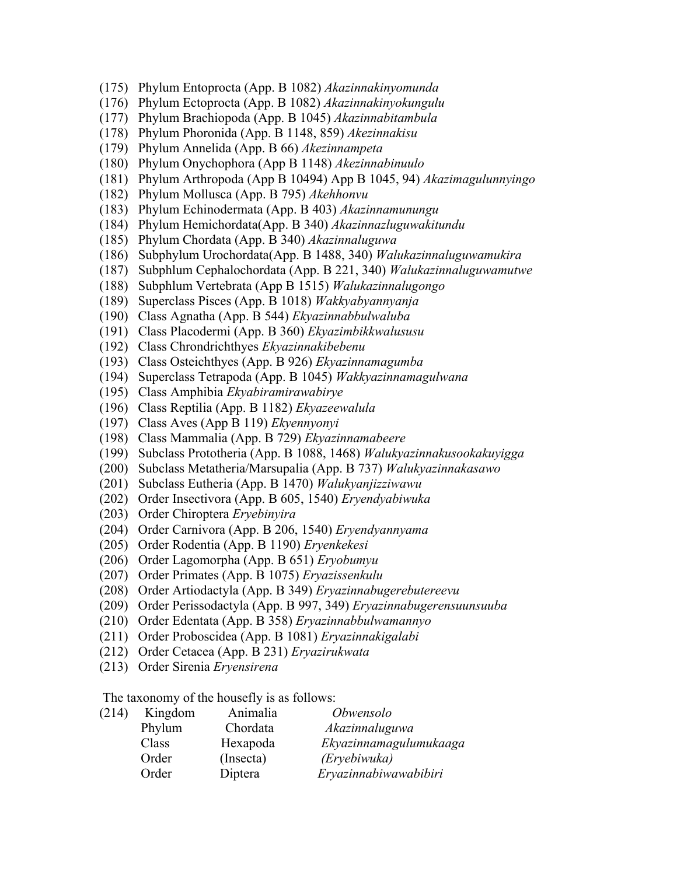- (175) Phylum Entoprocta (App. B 1082) *Akazinnakinyomunda*
- (176) Phylum Ectoprocta (App. B 1082) *Akazinnakinyokungulu*
- (177) Phylum Brachiopoda (App. B 1045) *Akazinnabitambula*
- (178) Phylum Phoronida (App. B 1148, 859) *Akezinnakisu*
- (179) Phylum Annelida (App. B 66) *Akezinnampeta*
- (180) Phylum Onychophora (App B 1148) *Akezinnabinuulo*
- (181) Phylum Arthropoda (App B 10494) App B 1045, 94) *Akazimagulunnyingo*
- (182) Phylum Mollusca (App. B 795) *Akehhonvu*
- (183) Phylum Echinodermata (App. B 403) *Akazinnamunungu*
- (184) Phylum Hemichordata(App. B 340) *Akazinnazluguwakitundu*
- (185) Phylum Chordata (App. B 340) *Akazinnaluguwa*
- (186) Subphylum Urochordata(App. B 1488, 340) *Walukazinnaluguwamukira*
- (187) Subphlum Cephalochordata (App. B 221, 340) *Walukazinnaluguwamutwe*
- (188) Subphlum Vertebrata (App B 1515) *Walukazinnalugongo*
- (189) Superclass Pisces (App. B 1018) *Wakkyabyannyanja*
- (190) Class Agnatha (App. B 544) *Ekyazinnabbulwaluba*
- (191) Class Placodermi (App. B 360) *Ekyazimbikkwalususu*
- (192) Class Chrondrichthyes *Ekyazinnakibebenu*
- (193) Class Osteichthyes (App. B 926) *Ekyazinnamagumba*
- (194) Superclass Tetrapoda (App. B 1045) *Wakkyazinnamagulwana*
- (195) Class Amphibia *Ekyabiramirawabirye*
- (196) Class Reptilia (App. B 1182) *Ekyazeewalula*
- (197) Class Aves (App B 119) *Ekyennyonyi*
- (198) Class Mammalia (App. B 729) *Ekyazinnamabeere*
- (199) Subclass Prototheria (App. B 1088, 1468) *Walukyazinnakusookakuyigga*
- (200) Subclass Metatheria/Marsupalia (App. B 737) *Walukyazinnakasawo*
- (201) Subclass Eutheria (App. B 1470) *Walukyanjizziwawu*
- (202) Order Insectivora (App. B 605, 1540) *Eryendyabiwuka*
- (203) Order Chiroptera *Eryebinyira*
- (204) Order Carnivora (App. B 206, 1540) *Eryendyannyama*
- (205) Order Rodentia (App. B 1190) *Eryenkekesi*
- (206) Order Lagomorpha (App. B 651) *Eryobumyu*
- (207) Order Primates (App. B 1075) *Eryazissenkulu*
- (208) Order Artiodactyla (App. B 349) *Eryazinnabugerebutereevu*
- (209) Order Perissodactyla (App. B 997, 349) *Eryazinnabugerensuunsuuba*
- (210) Order Edentata (App. B 358) *Eryazinnabbulwamannyo*
- (211) Order Proboscidea (App. B 1081) *Eryazinnakigalabi*
- (212) Order Cetacea (App. B 231) *Eryazirukwata*
- (213) Order Sirenia *Eryensirena*

The taxonomy of the housefly is as follows:

| (214) | Kingdom | Animalia  | <i>Obwensolo</i>       |
|-------|---------|-----------|------------------------|
|       | Phylum  | Chordata  | Akazinnaluguwa         |
|       | Class   | Hexapoda  | Ekyazinnamagulumukaaga |
|       | Order   | (Insecta) | (Eryebiwuka)           |
|       | Order   | Diptera   | Eryazinnabiwawabibiri  |
|       |         |           |                        |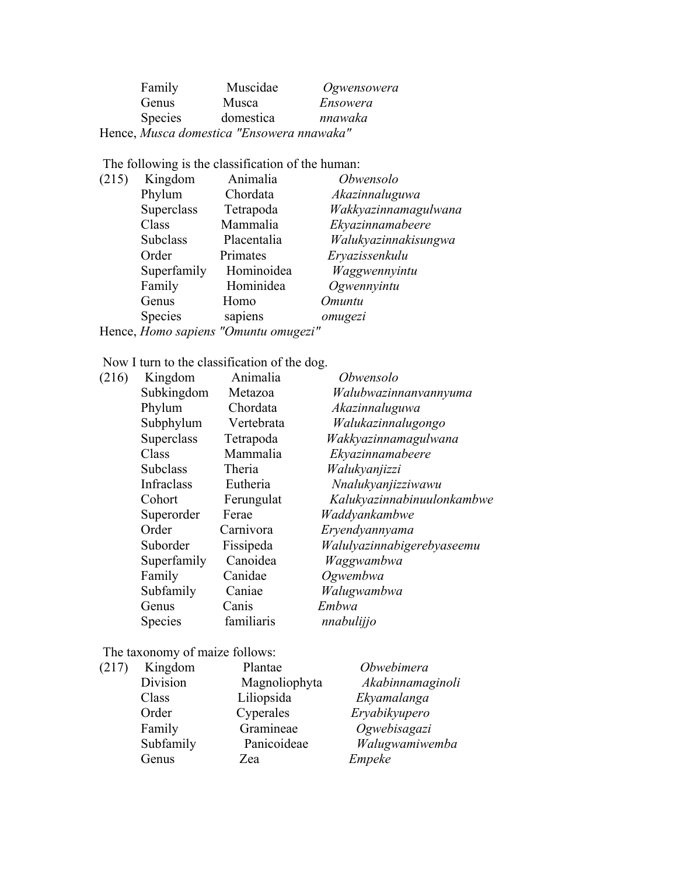| Family                                    | Muscidae  | Ogwensowera |
|-------------------------------------------|-----------|-------------|
| Genus                                     | Musca     | Ensowera    |
| <b>Species</b>                            | domestica | nnawaka     |
| Hence, Musca domestica "Ensowera nnawaka" |           |             |

The following is the classification of the human:

| (215) | Kingdom         | Animalia                                                                                         | Obwensolo            |
|-------|-----------------|--------------------------------------------------------------------------------------------------|----------------------|
|       | Phylum          | Chordata                                                                                         | Akazinnaluguwa       |
|       | Superclass      | Tetrapoda                                                                                        | Wakkyazinnamagulwana |
|       | Class           | Mammalia                                                                                         | Ekyazinnamabeere     |
|       | <b>Subclass</b> | Placentalia                                                                                      | Walukyazinnakisungwa |
|       | Order           | Primates                                                                                         | Eryazissenkulu       |
|       | Superfamily     | Hominoidea                                                                                       | Waggwennyintu        |
|       | Family          | Hominidea                                                                                        | Ogwennyintu          |
|       | Genus           | Homo                                                                                             | <i><b>Omuntu</b></i> |
|       | Species         | sapiens                                                                                          | omugezi              |
|       |                 | $H_{\text{max}}$ $H_{\text{max}}$ and $H_{\text{max}}$ and $H_{\text{max}}$ and $H_{\text{max}}$ |                      |

Hence, *Homo sapiens "Omuntu omugezi"*

Now I turn to the classification of the dog.

| Kingdom         | Animalia   | Obwensolo                  |
|-----------------|------------|----------------------------|
| Subkingdom      | Metazoa    | Walubwazinnanvannyuma      |
| Phylum          | Chordata   | Akazinnaluguwa             |
| Subphylum       | Vertebrata | Walukazinnalugongo         |
| Superclass      | Tetrapoda  | Wakkyazinnamagulwana       |
| Class           | Mammalia   | Ekyazinnamabeere           |
| <b>Subclass</b> | Theria     | Walukyanjizzi              |
| Infraclass      | Eutheria   | Nnalukyanjizziwawu         |
| Cohort          | Ferungulat | Kalukyazinnabinuulonkambwe |
| Superorder      | Ferae      | Waddyankambwe              |
| Order           | Carnivora  | Eryendyannyama             |
| Suborder        | Fissipeda  | Walulyazinnabigerebyaseemu |
| Superfamily     | Canoidea   | Waggwambwa                 |
| Family          | Canidae    | Ogwembwa                   |
| Subfamily       | Caniae     | Walugwambwa                |
| Genus           | Canis      | Embwa                      |
| <b>Species</b>  | familiaris | nnabulijjo                 |
|                 |            |                            |

The taxonomy of maize follows:

| (217) | Kingdom   | Plantae       | Obwebimera       |
|-------|-----------|---------------|------------------|
|       | Division  | Magnoliophyta | Akabinnamaginoli |
|       | Class     | Liliopsida    | Ekyamalanga      |
|       | Order     | Cyperales     | Eryabikyupero    |
|       | Family    | Gramineae     | Ogwebisagazi     |
|       | Subfamily | Panicoideae   | Walugwamiwemba   |
|       | Genus     | Zea           | Empeke           |
|       |           |               |                  |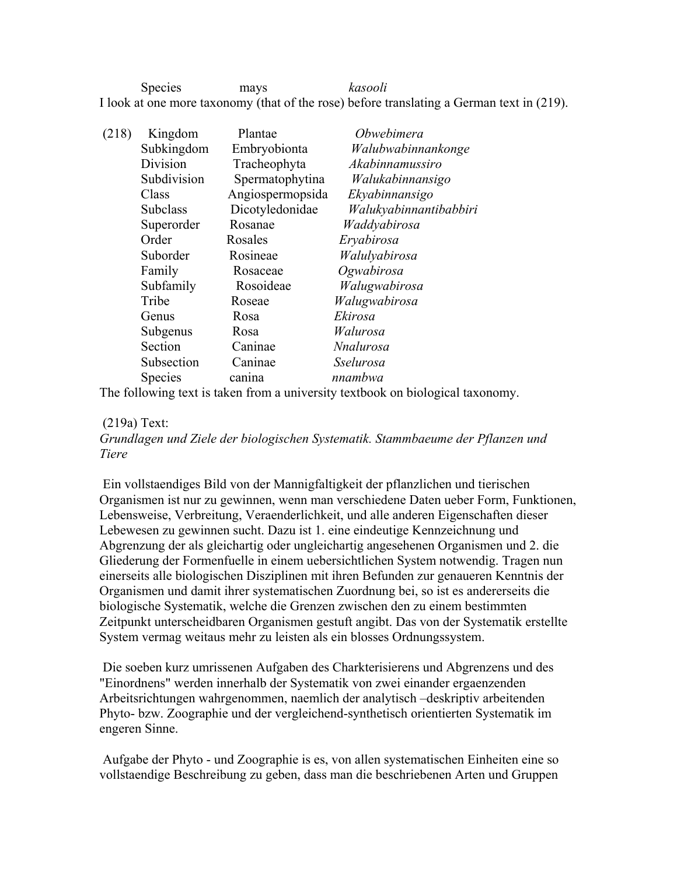Species mays *kasooli* I look at one more taxonomy (that of the rose) before translating a German text in (219).

| (218) | Kingdom         | Plantae          | Obwebimera             |
|-------|-----------------|------------------|------------------------|
|       | Subkingdom      | Embryobionta     | Walubwabinnankonge     |
|       | Division        | Tracheophyta     | Akabinnamussiro        |
|       | Subdivision     | Spermatophytina  | Walukabinnansigo       |
|       | Class           | Angiospermopsida | Ekyabinnansigo         |
|       | <b>Subclass</b> | Dicotyledonidae  | Walukyabinnantibabbiri |
|       | Superorder      | Rosanae          | Waddyabirosa           |
|       | Order           | Rosales          | Eryabirosa             |
|       | Suborder        | Rosineae         | Walulyabirosa          |
|       | Family          | Rosaceae         | Ogwabirosa             |
|       | Subfamily       | Rosoideae        | Walugwabirosa          |
|       | Tribe           | Roseae           | Walugwabirosa          |
|       | Genus           | Rosa             | Ekirosa                |
|       | Subgenus        | Rosa             | Walurosa               |
|       | Section         | Caninae          | <b>Nnalurosa</b>       |
|       | Subsection      | Caninae          | Sselurosa              |
|       | Species         | canina           | nnambwa                |

The following text is taken from a university textbook on biological taxonomy.

(219a) Text:

*Grundlagen und Ziele der biologischen Systematik. Stammbaeume der Pflanzen und Tiere*

 Ein vollstaendiges Bild von der Mannigfaltigkeit der pflanzlichen und tierischen Organismen ist nur zu gewinnen, wenn man verschiedene Daten ueber Form, Funktionen, Lebensweise, Verbreitung, Veraenderlichkeit, und alle anderen Eigenschaften dieser Lebewesen zu gewinnen sucht. Dazu ist 1. eine eindeutige Kennzeichnung und Abgrenzung der als gleichartig oder ungleichartig angesehenen Organismen und 2. die Gliederung der Formenfuelle in einem uebersichtlichen System notwendig. Tragen nun einerseits alle biologischen Disziplinen mit ihren Befunden zur genaueren Kenntnis der Organismen und damit ihrer systematischen Zuordnung bei, so ist es andererseits die biologische Systematik, welche die Grenzen zwischen den zu einem bestimmten Zeitpunkt unterscheidbaren Organismen gestuft angibt. Das von der Systematik erstellte System vermag weitaus mehr zu leisten als ein blosses Ordnungssystem.

 Die soeben kurz umrissenen Aufgaben des Charkterisierens und Abgrenzens und des "Einordnens" werden innerhalb der Systematik von zwei einander ergaenzenden Arbeitsrichtungen wahrgenommen, naemlich der analytisch –deskriptiv arbeitenden Phyto- bzw. Zoographie und der vergleichend-synthetisch orientierten Systematik im engeren Sinne.

 Aufgabe der Phyto - und Zoographie is es, von allen systematischen Einheiten eine so vollstaendige Beschreibung zu geben, dass man die beschriebenen Arten und Gruppen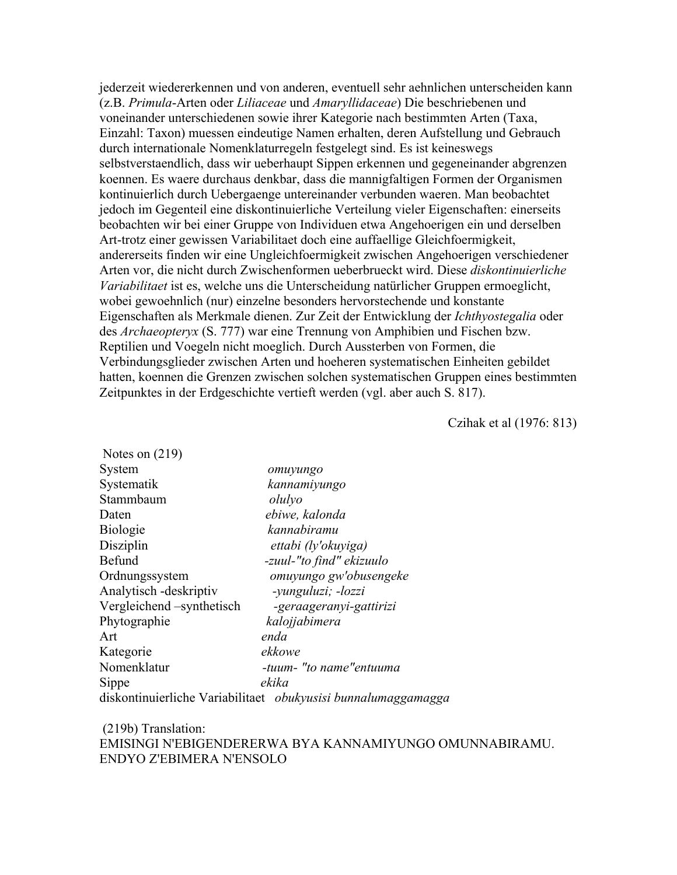jederzeit wiedererkennen und von anderen, eventuell sehr aehnlichen unterscheiden kann (z.B. *Primula*-Arten oder *Liliaceae* und *Amaryllidaceae*) Die beschriebenen und voneinander unterschiedenen sowie ihrer Kategorie nach bestimmten Arten (Taxa, Einzahl: Taxon) muessen eindeutige Namen erhalten, deren Aufstellung und Gebrauch durch internationale Nomenklaturregeln festgelegt sind. Es ist keineswegs selbstverstaendlich, dass wir ueberhaupt Sippen erkennen und gegeneinander abgrenzen koennen. Es waere durchaus denkbar, dass die mannigfaltigen Formen der Organismen kontinuierlich durch Uebergaenge untereinander verbunden waeren. Man beobachtet jedoch im Gegenteil eine diskontinuierliche Verteilung vieler Eigenschaften: einerseits beobachten wir bei einer Gruppe von Individuen etwa Angehoerigen ein und derselben Art-trotz einer gewissen Variabilitaet doch eine auffaellige Gleichfoermigkeit, andererseits finden wir eine Ungleichfoermigkeit zwischen Angehoerigen verschiedener Arten vor, die nicht durch Zwischenformen ueberbrueckt wird. Diese *diskontinuierliche Variabilitaet* ist es, welche uns die Unterscheidung natürlicher Gruppen ermoeglicht, wobei gewoehnlich (nur) einzelne besonders hervorstechende und konstante Eigenschaften als Merkmale dienen. Zur Zeit der Entwicklung der *Ichthyostegalia* oder des *Archaeopteryx* (S. 777) war eine Trennung von Amphibien und Fischen bzw. Reptilien und Voegeln nicht moeglich. Durch Aussterben von Formen, die Verbindungsglieder zwischen Arten und hoeheren systematischen Einheiten gebildet hatten, koennen die Grenzen zwischen solchen systematischen Gruppen eines bestimmten Zeitpunktes in der Erdgeschichte vertieft werden (vgl. aber auch S. 817).

Czihak et al (1976: 813)

| Notes on $(219)$         |                                                               |
|--------------------------|---------------------------------------------------------------|
| System                   | omuyungo                                                      |
| Systematik               | kannamiyungo                                                  |
| Stammbaum                | olulyo                                                        |
| Daten                    | ebiwe, kalonda                                                |
| <b>Biologie</b>          | kannabiramu                                                   |
| Disziplin                | ettabi (ly'okuyiga)                                           |
| Befund                   | -zuul-"to find" ekizuulo                                      |
| Ordnungssystem           | omuyungo gw'obusengeke                                        |
| Analytisch - deskriptiv  | -yunguluzi; -lozzi                                            |
| Vergleichend-synthetisch | -geraageranyi-gattirizi                                       |
| Phytographie             | kalojjabimera                                                 |
| Art                      | enda                                                          |
| Kategorie                | ekkowe                                                        |
| Nomenklatur              | -tuum- "to name"entuuma                                       |
| Sippe                    | ekika                                                         |
|                          | diskontinuierliche Variabilitaet obukyusisi bunnalumaggamagga |

 (219b) Translation: EMISINGI N'EBIGENDERERWA BYA KANNAMIYUNGO OMUNNABIRAMU. ENDYO Z'EBIMERA N'ENSOLO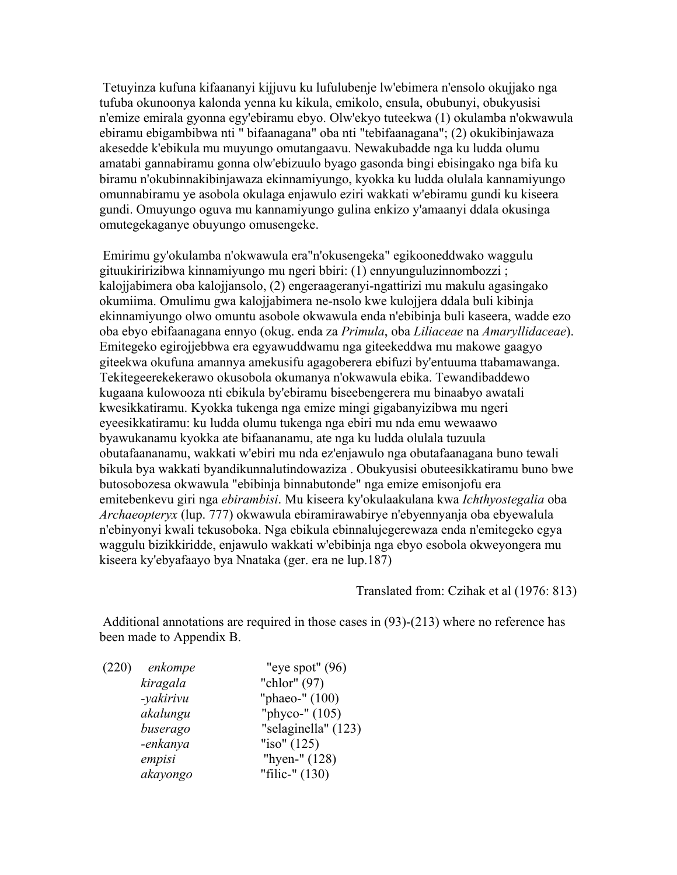Tetuyinza kufuna kifaananyi kijjuvu ku lufulubenje lw'ebimera n'ensolo okujjako nga tufuba okunoonya kalonda yenna ku kikula, emikolo, ensula, obubunyi, obukyusisi n'emize emirala gyonna egy'ebiramu ebyo. Olw'ekyo tuteekwa (1) okulamba n'okwawula ebiramu ebigambibwa nti " bifaanagana" oba nti "tebifaanagana"; (2) okukibinjawaza akesedde k'ebikula mu muyungo omutangaavu. Newakubadde nga ku ludda olumu amatabi gannabiramu gonna olw'ebizuulo byago gasonda bingi ebisingako nga bifa ku biramu n'okubinnakibinjawaza ekinnamiyungo, kyokka ku ludda olulala kannamiyungo omunnabiramu ye asobola okulaga enjawulo eziri wakkati w'ebiramu gundi ku kiseera gundi. Omuyungo oguva mu kannamiyungo gulina enkizo y'amaanyi ddala okusinga omutegekaganye obuyungo omusengeke.

 Emirimu gy'okulamba n'okwawula era"n'okusengeka" egikooneddwako waggulu gituukiririzibwa kinnamiyungo mu ngeri bbiri: (1) ennyunguluzinnombozzi ; kalojjabimera oba kalojjansolo, (2) engeraageranyi-ngattirizi mu makulu agasingako okumiima. Omulimu gwa kalojjabimera ne-nsolo kwe kulojjera ddala buli kibinja ekinnamiyungo olwo omuntu asobole okwawula enda n'ebibinja buli kaseera, wadde ezo oba ebyo ebifaanagana ennyo (okug. enda za *Primula*, oba *Liliaceae* na *Amaryllidaceae*). Emitegeko egirojjebbwa era egyawuddwamu nga giteekeddwa mu makowe gaagyo giteekwa okufuna amannya amekusifu agagoberera ebifuzi by'entuuma ttabamawanga. Tekitegeerekekerawo okusobola okumanya n'okwawula ebika. Tewandibaddewo kugaana kulowooza nti ebikula by'ebiramu biseebengerera mu binaabyo awatali kwesikkatiramu. Kyokka tukenga nga emize mingi gigabanyizibwa mu ngeri eyeesikkatiramu: ku ludda olumu tukenga nga ebiri mu nda emu wewaawo byawukanamu kyokka ate bifaananamu, ate nga ku ludda olulala tuzuula obutafaananamu, wakkati w'ebiri mu nda ez'enjawulo nga obutafaanagana buno tewali bikula bya wakkati byandikunnalutindowaziza . Obukyusisi obuteesikkatiramu buno bwe butosobozesa okwawula "ebibinja binnabutonde" nga emize emisonjofu era emitebenkevu giri nga *ebirambisi*. Mu kiseera ky'okulaakulana kwa *Ichthyostegalia* oba *Archaeopteryx* (lup. 777) okwawula ebiramirawabirye n'ebyennyanja oba ebyewalula n'ebinyonyi kwali tekusoboka. Nga ebikula ebinnalujegerewaza enda n'emitegeko egya waggulu bizikkiridde, enjawulo wakkati w'ebibinja nga ebyo esobola okweyongera mu kiseera ky'ebyafaayo bya Nnataka (ger. era ne lup.187)

Translated from: Czihak et al (1976: 813)

 Additional annotations are required in those cases in (93)-(213) where no reference has been made to Appendix B.

 (220) *enkompe* "eye spot" (96) *kiragala* "chlor" (97) *-yakirivu* "phaeo-" (100) *akalungu* "phyco-" (105) *buserago* "selaginella" (123) *-enkanya* "iso" (125) *empisi* "hyen-" (128) *akayongo* "filic-" (130)